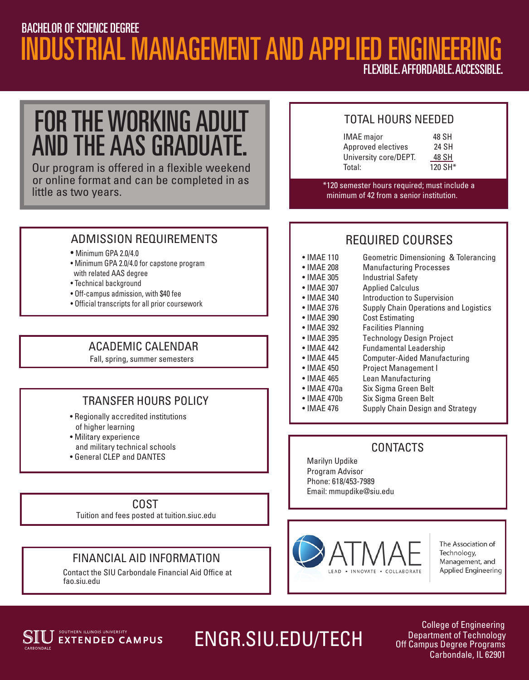### INDUSTRIAL MANAGEMENT AND APPLIED ENGINEERI FLEXIBLE.AFFORDABLE.ACCESSIBLE. BACHELOR OF SCIENCE DEGREE

FOR THE WORKING ADULT AND THE AAS GRADUATE.

little as two years. or online format and can be completed in as Our program is offered in a flexible weekend

#### TOTAL HOURS NEEDED

| 48 SH   |
|---------|
| 24 SH   |
| 48 SH   |
| 120 SH* |
|         |

\*120 semester hours required; must include a minimum of 42 from a senior institution.

#### ADMISSION REQUIREMENTS

• Minimum GPA 2.0/4.0

j

- Minimum GPA 2.0/4.0 for capstone program with related AAS degree
- Technical background
- Off-campus admission, with \$40 fee
- Official transcripts for all prior coursework

#### ACADEMIC CALENDAR

Fall, spring, summer semesters

#### TRANSFER HOURS POLICY

- Regionally accredited institutions of higher learning
- Military experience and military technical schools
- General CLEP and DANTES

#### COST

Tuition and fees posted at tuition.siuc.edu

#### FINANCIAL AID INFORMATION

Contact the SIU Carbondale Financial Aid Office at fao.siu.edu

#### REQUIRED COURSES

- IMAE 110 Geometric Dimensioning & Tolerancing
- IMAE 208 Manufacturing Processes • IMAE 305 Industrial Safety
- IMAE 307 Applied Calculus
- IMAE 340 Introduction to Supervision
- IMAE 376 Supply Chain Operations and Logistics
- IMAE 390 Cost Estimating
- IMAE 392 Facilities Planning
- IMAE 395 Technology Design Project
- IMAE 442 Fundamental Leadership
	-
- IMAE 445 Computer-Aided Manufacturing • IMAE 450 Project Management I
	-
- IMAE 465 Lean Manufacturing
- IMAE 470a Six Sigma Green Belt
- IMAE 470b Six Sigma Green Belt
- IMAE 476 Supply Chain Design and Strategy

#### **CONTACTS**

Marilyn Updike Program Advisor Phone: 618/453-7989 Email: mmupdike@siu.edu



The Association of Technology, Management, and **Applied Engineering** 



# ENGR.SIU.EDU/TECH

College of Engineering Department of Technology Off Campus Degree Programs Carbondale, IL 62901